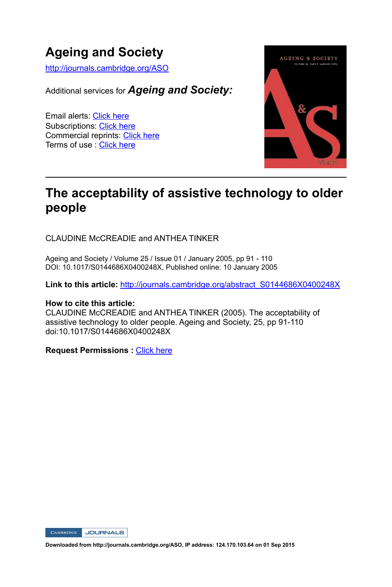## **Ageing and Society**

http://journals.cambridge.org/ASO

Additional services for *Ageing and Society:*

Email alerts: Click here Subscriptions: Click here Commercial reprints: Click here Terms of use : Click here



## **The acceptability of assistive technology to older people**

CLAUDINE McCREADIE and ANTHEA TINKER

Ageing and Society / Volume 25 / Issue 01 / January 2005, pp 91 - 110 DOI: 10.1017/S0144686X0400248X, Published online: 10 January 2005

**Link to this article:** http://journals.cambridge.org/abstract\_S0144686X0400248X

#### **How to cite this article:**

CLAUDINE McCREADIE and ANTHEA TINKER (2005). The acceptability of assistive technology to older people. Ageing and Society, 25, pp 91-110 doi:10.1017/S0144686X0400248X

**Request Permissions :** Click here

CAMBRIDGE JOURNALS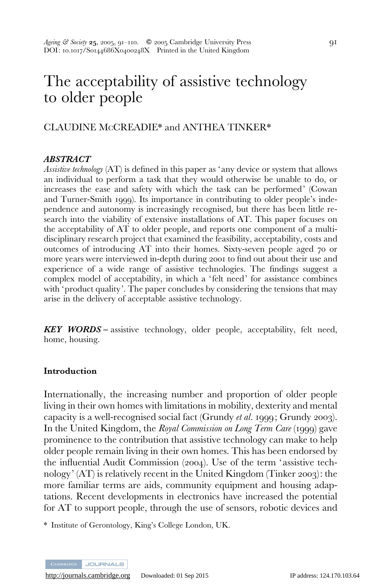# The acceptability of assistive technology to older people

### CLAUDINE MCCREADIE\* and ANTHEA TINKER\*

#### ABSTRACT

Assistive technology (AT) is defined in this paper as 'any device or system that allows an individual to perform a task that they would otherwise be unable to do, or increases the ease and safety with which the task can be performed' (Cowan and Turner-Smith 1999). Its importance in contributing to older people's independence and autonomy is increasingly recognised, but there has been little research into the viability of extensive installations of AT. This paper focuses on the acceptability of AT to older people, and reports one component of a multidisciplinary research project that examined the feasibility, acceptability, costs and outcomes of introducing AT into their homes. Sixty-seven people aged 70 or more years were interviewed in-depth during 2001 to find out about their use and experience of a wide range of assistive technologies. The findings suggest a complex model of acceptability, in which a 'felt need' for assistance combines with 'product quality'. The paper concludes by considering the tensions that may arise in the delivery of acceptable assistive technology.

KEY WORDS – assistive technology, older people, acceptability, felt need, home, housing.

#### Introduction

Internationally, the increasing number and proportion of older people living in their own homes with limitations in mobility, dexterity and mental capacity is a well-recognised social fact (Grundy et al. 1999; Grundy 2003). In the United Kingdom, the *Royal Commission on Long Term Care* (1999) gave prominence to the contribution that assistive technology can make to help older people remain living in their own homes. This has been endorsed by the influential Audit Commission (2004). Use of the term 'assistive technology' (AT) is relatively recent in the United Kingdom (Tinker 2003): the more familiar terms are aids, community equipment and housing adaptations. Recent developments in electronics have increased the potential for AT to support people, through the use of sensors, robotic devices and

\* Institute of Gerontology, King's College London, UK.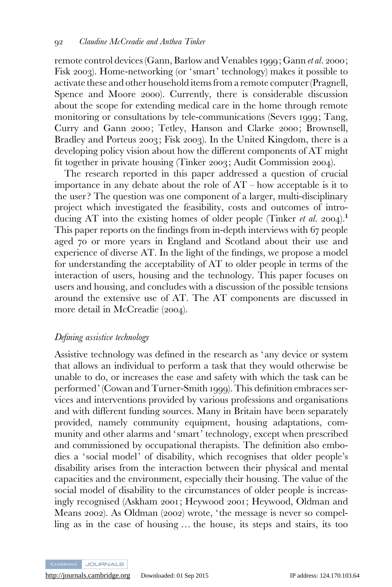remote control devices (Gann, Barlow and Venables 1999; Gann et al. 2000; Fisk 2003). Home-networking (or 'smart' technology) makes it possible to activate these and other household items from a remote computer (Pragnell, Spence and Moore 2000). Currently, there is considerable discussion about the scope for extending medical care in the home through remote monitoring or consultations by tele-communications (Severs 1999; Tang, Curry and Gann 2000; Tetley, Hanson and Clarke 2000; Brownsell, Bradley and Porteus 2003; Fisk 2003). In the United Kingdom, there is a developing policy vision about how the different components of AT might fit together in private housing (Tinker 2003; Audit Commission 2004).

The research reported in this paper addressed a question of crucial importance in any debate about the role of  $AT - how$  acceptable is it to the user ? The question was one component of a larger, multi-disciplinary project which investigated the feasibility, costs and outcomes of introducing AT into the existing homes of older people (Tinker *et al.* 2004).<sup>1</sup> This paper reports on the findings from in-depth interviews with 67 people aged 70 or more years in England and Scotland about their use and experience of diverse AT. In the light of the findings, we propose a model for understanding the acceptability of AT to older people in terms of the interaction of users, housing and the technology. This paper focuses on users and housing, and concludes with a discussion of the possible tensions around the extensive use of AT. The AT components are discussed in more detail in McCreadie (2004).

#### Defining assistive technology

Assistive technology was defined in the research as 'any device or system that allows an individual to perform a task that they would otherwise be unable to do, or increases the ease and safety with which the task can be performed' (Cowan and Turner-Smith 1999). This definition embraces services and interventions provided by various professions and organisations and with different funding sources. Many in Britain have been separately provided, namely community equipment, housing adaptations, community and other alarms and 'smart' technology, except when prescribed and commissioned by occupational therapists. The definition also embodies a ' social model' of disability, which recognises that older people's disability arises from the interaction between their physical and mental capacities and the environment, especially their housing. The value of the social model of disability to the circumstances of older people is increasingly recognised (Askham 2001; Heywood 2001; Heywood, Oldman and Means 2002). As Oldman (2002) wrote, 'the message is never so compelling as in the case of housing … the house, its steps and stairs, its too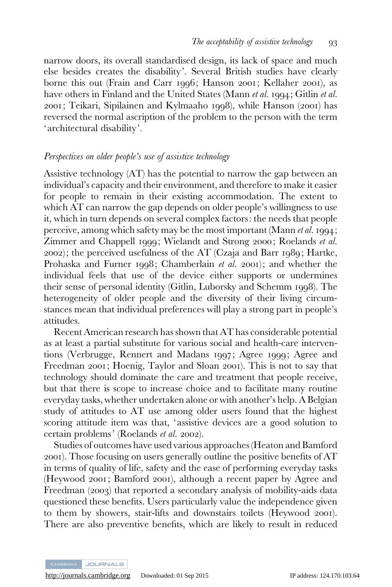narrow doors, its overall standardised design, its lack of space and much else besides creates the disability'. Several British studies have clearly borne this out (Frain and Carr 1996; Hanson 2001; Kellaher 2001), as have others in Finland and the United States (Mann et al. 1994; Gitlin et al. 2001; Teikari, Sipilainen and Kylmaaho 1998), while Hanson (2001) has reversed the normal ascription of the problem to the person with the term 'architectural disability'.

#### Perspectives on older people's use of assistive technology

Assistive technology (AT) has the potential to narrow the gap between an individual's capacity and their environment, and therefore to make it easier for people to remain in their existing accommodation. The extent to which AT can narrow the gap depends on older people's willingness to use it, which in turn depends on several complex factors: the needs that people perceive, among which safety may be the most important (Mann et al. 1994; Zimmer and Chappell 1999; Wielandt and Strong 2000; Roelands et al. 2002); the perceived usefulness of the AT (Czaja and Barr 1989; Hartke, Prohaska and Furner 1998; Chamberlain et al. 2001); and whether the individual feels that use of the device either supports or undermines their sense of personal identity (Gitlin, Luborsky and Schemm 1998). The heterogeneity of older people and the diversity of their living circumstances mean that individual preferences will play a strong part in people's attitudes.

Recent American research has shown that AT has considerable potential as at least a partial substitute for various social and health-care interventions (Verbrugge, Rennert and Madans 1997; Agree 1999; Agree and Freedman 2001; Hoenig, Taylor and Sloan 2001). This is not to say that technology should dominate the care and treatment that people receive, but that there is scope to increase choice and to facilitate many routine everyday tasks, whether undertaken alone or with another's help. A Belgian study of attitudes to AT use among older users found that the highest scoring attitude item was that, 'assistive devices are a good solution to certain problems' (Roelands et al. 2002).

Studies of outcomes have used various approaches (Heaton and Bamford 2001). Those focusing on users generally outline the positive benefits of AT in terms of quality of life, safety and the ease of performing everyday tasks (Heywood 2001; Bamford 2001), although a recent paper by Agree and Freedman (2003) that reported a secondary analysis of mobility-aids data questioned these benefits. Users particularly value the independence given to them by showers, stair-lifts and downstairs toilets (Heywood 2001). There are also preventive benefits, which are likely to result in reduced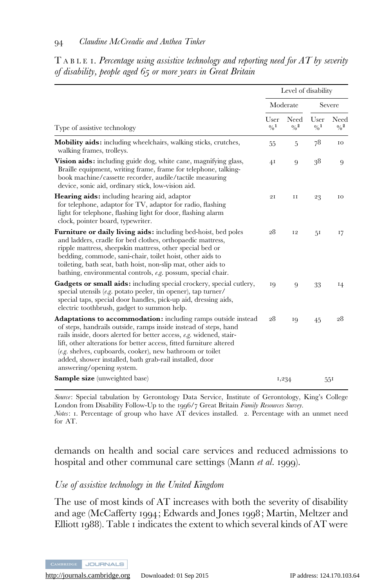|                                                                                                                                                                                                                                                                                                                                                                                                                                                                           | Level of disability                |                  |                  |                                    |  |
|---------------------------------------------------------------------------------------------------------------------------------------------------------------------------------------------------------------------------------------------------------------------------------------------------------------------------------------------------------------------------------------------------------------------------------------------------------------------------|------------------------------------|------------------|------------------|------------------------------------|--|
|                                                                                                                                                                                                                                                                                                                                                                                                                                                                           |                                    | Moderate         |                  | Severe                             |  |
| Type of assistive technology                                                                                                                                                                                                                                                                                                                                                                                                                                              | User<br>$\frac{0}{0}$ <sup>1</sup> | Need<br>$\%^{2}$ | User<br>$\%^{1}$ | Need<br>$\frac{0}{0}$ <sup>2</sup> |  |
| <b>Mobility aids:</b> including wheelchairs, walking sticks, crutches,<br>walking frames, trolleys.                                                                                                                                                                                                                                                                                                                                                                       | 55                                 | 5                | 78               | 10                                 |  |
| Vision aids: including guide dog, white cane, magnifying glass,<br>Braille equipment, writing frame, frame for telephone, talking-<br>book machine/cassette recorder, audile/tactile measuring<br>device, sonic aid, ordinary stick, low-vision aid.                                                                                                                                                                                                                      | 4 <sub>I</sub>                     | 9                | 38               | 9                                  |  |
| Hearing aids: including hearing aid, adaptor<br>for telephone, adaptor for TV, adaptor for radio, flashing<br>light for telephone, flashing light for door, flashing alarm<br>clock, pointer board, typewriter.                                                                                                                                                                                                                                                           | 2I                                 | H                | 23               | 10                                 |  |
| <b>Furniture or daily living aids:</b> including bed-hoist, bed poles<br>and ladders, cradle for bed clothes, orthopaedic mattress,<br>ripple mattress, sheepskin mattress, other special bed or<br>bedding, commode, sani-chair, toilet hoist, other aids to<br>toileting, bath seat, bath hoist, non-slip mat, other aids to<br>bathing, environmental controls, $e.g.$ possum, special chair.                                                                          | 28                                 | 12               | 51               | 17                                 |  |
| Gadgets or small aids: including special crockery, special cutlery,<br>special utensils (e.g. potato peeler, tin opener), tap turner/<br>special taps, special door handles, pick-up aid, dressing aids,<br>electric toothbrush, gadget to summon help.                                                                                                                                                                                                                   | 19                                 | 9                | 33               | 14                                 |  |
| <b>Adaptations to accommodation:</b> including ramps outside instead<br>of steps, handrails outside, ramps inside instead of steps, hand<br>rails inside, doors alerted for better access, $e.g.$ widened, stair-<br>lift, other alterations for better access, fitted furniture altered<br>$(e.g. \, shelves, \,cup. \, codes, \,code), \, new \, \,bathroom \, or \, to \, let$<br>added, shower installed, bath grab-rail installed, door<br>answering/opening system. | 28                                 | IQ               | 45               | 28                                 |  |
| <b>Sample size</b> (unweighted base)                                                                                                                                                                                                                                                                                                                                                                                                                                      |                                    | 1,234            |                  | 551                                |  |

 $T A B L E I$ . Percentage using assistive technology and reporting need for  $AT$  by severity of disability, people aged 65 or more years in Great Britain

Source: Special tabulation by Gerontology Data Service, Institute of Gerontology, King's College London from Disability Follow-Up to the 1996/7 Great Britain Family Resources Survey. Notes: 1. Percentage of group who have AT devices installed. 2. Percentage with an unmet need for AT.

demands on health and social care services and reduced admissions to hospital and other communal care settings (Mann *et al.* 1999).

#### Use of assistive technology in the United Kingdom

The use of most kinds of AT increases with both the severity of disability and age (McCafferty 1994; Edwards and Jones 1998; Martin, Meltzer and Elliott 1988). Table 1 indicates the extent to which several kinds of AT were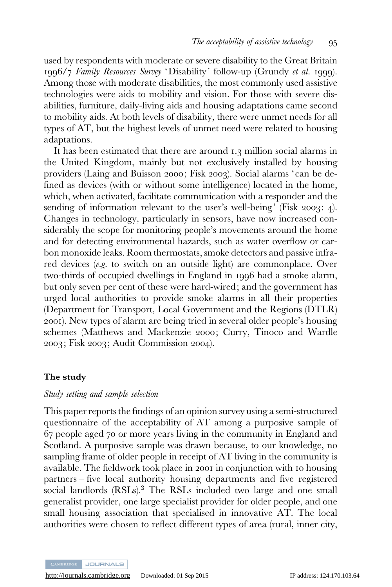used by respondents with moderate or severe disability to the Great Britain 1996/7 Family Resources Survey 'Disability' follow-up (Grundy et al. 1999). Among those with moderate disabilities, the most commonly used assistive technologies were aids to mobility and vision. For those with severe disabilities, furniture, daily-living aids and housing adaptations came second to mobility aids. At both levels of disability, there were unmet needs for all types of AT, but the highest levels of unmet need were related to housing adaptations.

It has been estimated that there are around 1.3 million social alarms in the United Kingdom, mainly but not exclusively installed by housing providers (Laing and Buisson 2000; Fisk 2003). Social alarms 'can be defined as devices (with or without some intelligence) located in the home, which, when activated, facilitate communication with a responder and the sending of information relevant to the user's well-being' (Fisk 2003: 4). Changes in technology, particularly in sensors, have now increased considerably the scope for monitoring people's movements around the home and for detecting environmental hazards, such as water overflow or carbon monoxide leaks. Room thermostats, smoke detectors and passive infrared devices (e.g. to switch on an outside light) are commonplace. Over two-thirds of occupied dwellings in England in 1996 had a smoke alarm, but only seven per cent of these were hard-wired; and the government has urged local authorities to provide smoke alarms in all their properties (Department for Transport, Local Government and the Regions (DTLR) 2001). New types of alarm are being tried in several older people's housing schemes (Matthews and Mackenzie 2000; Curry, Tinoco and Wardle 2003; Fisk 2003; Audit Commission 2004).

#### The study

#### Study setting and sample selection

This paper reports the findings of an opinion survey using a semi-structured questionnaire of the acceptability of AT among a purposive sample of 67 people aged 70 or more years living in the community in England and Scotland. A purposive sample was drawn because, to our knowledge, no sampling frame of older people in receipt of AT living in the community is available. The fieldwork took place in 2001 in conjunction with 10 housing partners – five local authority housing departments and five registered social landlords (RSLs).<sup>2</sup> The RSLs included two large and one small generalist provider, one large specialist provider for older people, and one small housing association that specialised in innovative AT. The local authorities were chosen to reflect different types of area (rural, inner city,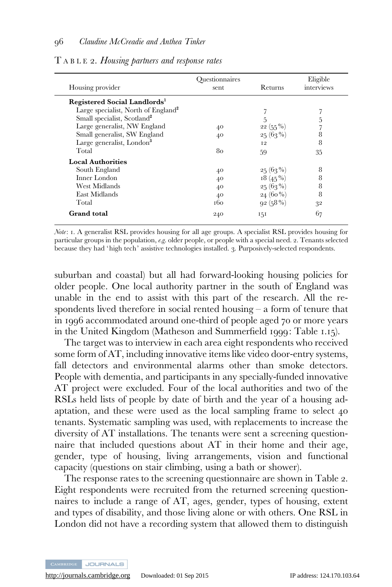| Housing provider                                | Questionnaires<br>sent | Returns    | Eligible<br>interviews |  |
|-------------------------------------------------|------------------------|------------|------------------------|--|
| Registered Social Landlords <sup>1</sup>        |                        |            |                        |  |
| Large specialist, North of England <sup>2</sup> |                        |            |                        |  |
| Small specialist, Scotland <sup>2</sup>         |                        | 5          | 5                      |  |
| Large generalist, NW England                    | 40                     | $22(55\%)$ |                        |  |
| Small generalist, SW England                    | 40                     | 25(63%)    | 8                      |  |
| Large generalist, London <sup>3</sup>           |                        | 12         | 8                      |  |
| Total                                           | 80                     | 59         | 35                     |  |
| <b>Local Authorities</b>                        |                        |            |                        |  |
| South England                                   | 40                     | 25(63%)    | 8                      |  |
| Inner London                                    | 40                     | $18(45\%)$ | 8                      |  |
| West Midlands                                   | 40                     | 25(63%)    | 8                      |  |
| East Midlands                                   | 40                     | $24(60\%)$ | 8                      |  |
| Total                                           | 160                    | 92(58%)    | 32                     |  |
| Grand total                                     | 240                    | 151        | 67                     |  |

 $T A B L E 2$ . Housing partners and response rates

Note: 1. A generalist RSL provides housing for all age groups. A specialist RSL provides housing for particular groups in the population, e.g. older people, or people with a special need. 2. Tenants selected because they had 'high tech' assistive technologies installed. 3. Purposively-selected respondents.

suburban and coastal) but all had forward-looking housing policies for older people. One local authority partner in the south of England was unable in the end to assist with this part of the research. All the respondents lived therefore in social rented housing – a form of tenure that in 1996 accommodated around one-third of people aged 70 or more years in the United Kingdom (Matheson and Summerfield 1999: Table 1.15).

The target was to interview in each area eight respondents who received some form of AT, including innovative items like video door-entry systems, fall detectors and environmental alarms other than smoke detectors. People with dementia, and participants in any specially-funded innovative AT project were excluded. Four of the local authorities and two of the RSLs held lists of people by date of birth and the year of a housing adaptation, and these were used as the local sampling frame to select 40 tenants. Systematic sampling was used, with replacements to increase the diversity of AT installations. The tenants were sent a screening questionnaire that included questions about AT in their home and their age, gender, type of housing, living arrangements, vision and functional capacity (questions on stair climbing, using a bath or shower).

The response rates to the screening questionnaire are shown in Table 2. Eight respondents were recruited from the returned screening questionnaires to include a range of AT, ages, gender, types of housing, extent and types of disability, and those living alone or with others. One RSL in London did not have a recording system that allowed them to distinguish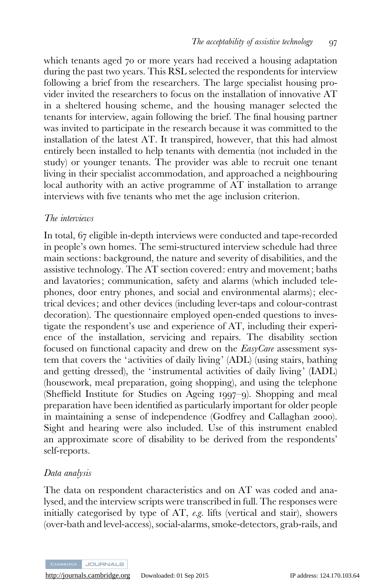which tenants aged 70 or more years had received a housing adaptation during the past two years. This RSL selected the respondents for interview following a brief from the researchers. The large specialist housing provider invited the researchers to focus on the installation of innovative AT in a sheltered housing scheme, and the housing manager selected the tenants for interview, again following the brief. The final housing partner was invited to participate in the research because it was committed to the installation of the latest AT. It transpired, however, that this had almost entirely been installed to help tenants with dementia (not included in the study) or younger tenants. The provider was able to recruit one tenant living in their specialist accommodation, and approached a neighbouring local authority with an active programme of AT installation to arrange interviews with five tenants who met the age inclusion criterion.

#### The interviews

In total, 67 eligible in-depth interviews were conducted and tape-recorded in people's own homes. The semi-structured interview schedule had three main sections: background, the nature and severity of disabilities, and the assistive technology. The AT section covered: entry and movement; baths and lavatories; communication, safety and alarms (which included telephones, door entry phones, and social and environmental alarms); electrical devices; and other devices (including lever-taps and colour-contrast decoration). The questionnaire employed open-ended questions to investigate the respondent's use and experience of AT, including their experience of the installation, servicing and repairs. The disability section focused on functional capacity and drew on the EasyCare assessment system that covers the 'activities of daily living' (ADL) (using stairs, bathing and getting dressed), the 'instrumental activities of daily living' (IADL) (housework, meal preparation, going shopping), and using the telephone (Sheffield Institute for Studies on Ageing 1997–9). Shopping and meal preparation have been identified as particularly important for older people in maintaining a sense of independence (Godfrey and Callaghan 2000). Sight and hearing were also included. Use of this instrument enabled an approximate score of disability to be derived from the respondents' self-reports.

#### Data analysis

The data on respondent characteristics and on AT was coded and analysed, and the interview scripts were transcribed in full. The responses were initially categorised by type of AT, e.g. lifts (vertical and stair), showers (over-bath and level-access), social-alarms, smoke-detectors, grab-rails, and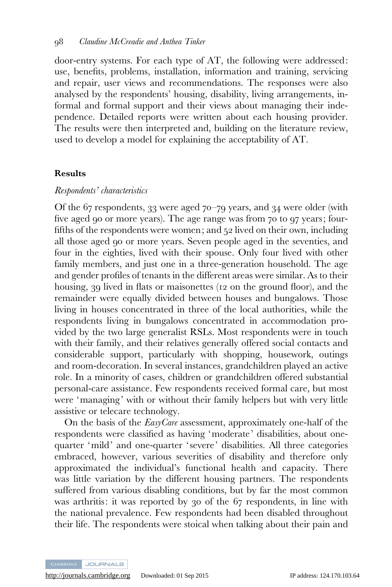door-entry systems. For each type of AT, the following were addressed: use, benefits, problems, installation, information and training, servicing and repair, user views and recommendations. The responses were also analysed by the respondents' housing, disability, living arrangements, informal and formal support and their views about managing their independence. Detailed reports were written about each housing provider. The results were then interpreted and, building on the literature review, used to develop a model for explaining the acceptability of AT.

#### Results

#### Respondents' characteristics

Of the 67 respondents, 33 were aged 70–79 years, and 34 were older (with five aged 90 or more years). The age range was from 70 to 97 years; fourfifths of the respondents were women; and 52 lived on their own, including all those aged 90 or more years. Seven people aged in the seventies, and four in the eighties, lived with their spouse. Only four lived with other family members, and just one in a three-generation household. The age and gender profiles of tenants in the different areas were similar. As to their housing, 39 lived in flats or maisonettes (12 on the ground floor), and the remainder were equally divided between houses and bungalows. Those living in houses concentrated in three of the local authorities, while the respondents living in bungalows concentrated in accommodation provided by the two large generalist RSLs. Most respondents were in touch with their family, and their relatives generally offered social contacts and considerable support, particularly with shopping, housework, outings and room-decoration. In several instances, grandchildren played an active role. In a minority of cases, children or grandchildren offered substantial personal-care assistance. Few respondents received formal care, but most were 'managing' with or without their family helpers but with very little assistive or telecare technology.

On the basis of the EasyCare assessment, approximately one-half of the respondents were classified as having 'moderate' disabilities, about onequarter 'mild' and one-quarter ' severe' disabilities. All three categories embraced, however, various severities of disability and therefore only approximated the individual's functional health and capacity. There was little variation by the different housing partners. The respondents suffered from various disabling conditions, but by far the most common was arthritis: it was reported by 30 of the 67 respondents, in line with the national prevalence. Few respondents had been disabled throughout their life. The respondents were stoical when talking about their pain and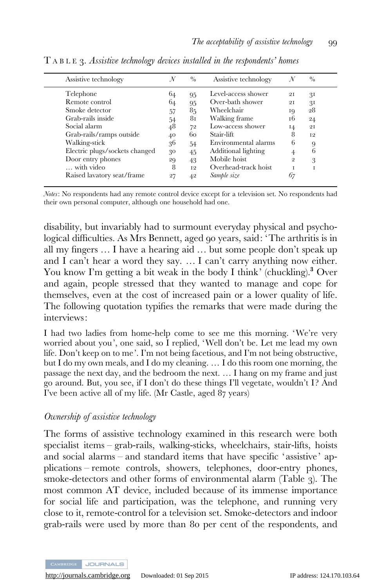| Assistive technology           | .N | $\%$ | Assistive technology | $\mathcal{N}$  | $\%$           |
|--------------------------------|----|------|----------------------|----------------|----------------|
| Telephone                      | 64 | 95   | Level-access shower  | 2I             | 3 <sup>I</sup> |
| Remote control                 | 64 | 95   | Over-bath shower     | 2I             | 3 <sup>I</sup> |
| Smoke detector                 | 57 | 85   | Wheelchair           | 19             | 28             |
| Grab-rails inside              | 54 | 81   | Walking frame        | 16             | 24             |
| Social alarm                   | 48 | 72   | Low-access shower    | 14             | 2I             |
| Grab-rails/ramps outside       | 40 | 60   | Stair-lift           | 8              | 12             |
| Walking-stick                  | 36 | 54   | Environmental alarms | 6              | 9              |
| Electric plugs/sockets changed | 30 | 45   | Additional lighting  | 4              | 6              |
| Door entry phones              | 29 | 43   | Mobile hoist         | $\mathfrak{D}$ | 3              |
| with video                     | 8  | 12   | Overhead-track hoist |                |                |
| Raised lavatory seat/frame     | 27 | 42   | Sample size          |                |                |
|                                |    |      |                      |                |                |

T ABLE 3. Assistive technology devices installed in the respondents' homes

Notes: No respondents had any remote control device except for a television set. No respondents had their own personal computer, although one household had one.

disability, but invariably had to surmount everyday physical and psychological difficulties. As Mrs Bennett, aged 90 years, said: 'The arthritis is in all my fingers … I have a hearing aid … but some people don't speak up and I can't hear a word they say. … I can't carry anything now either. You know I'm getting a bit weak in the body I think' (chuckling).<sup>3</sup> Over and again, people stressed that they wanted to manage and cope for themselves, even at the cost of increased pain or a lower quality of life. The following quotation typifies the remarks that were made during the interviews:

I had two ladies from home-help come to see me this morning. 'We're very worried about you', one said, so I replied, 'Well don't be. Let me lead my own life. Don't keep on to me'. I'm not being facetious, and I'm not being obstructive, but I do my own meals, and I do my cleaning. … I do this room one morning, the passage the next day, and the bedroom the next. … I hang on my frame and just go around. But, you see, if I don't do these things I'll vegetate, wouldn't I ? And I've been active all of my life. (Mr Castle, aged 87 years)

#### Ownership of assistive technology

The forms of assistive technology examined in this research were both specialist items – grab-rails, walking-sticks, wheelchairs, stair-lifts, hoists and social alarms – and standard items that have specific 'assistive' applications – remote controls, showers, telephones, door-entry phones, smoke-detectors and other forms of environmental alarm (Table 3). The most common AT device, included because of its immense importance for social life and participation, was the telephone, and running very close to it, remote-control for a television set. Smoke-detectors and indoor grab-rails were used by more than 80 per cent of the respondents, and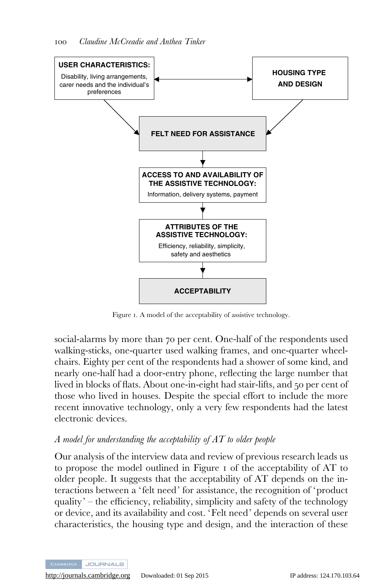

Figure 1. A model of the acceptability of assistive technology.

social-alarms by more than 70 per cent. One-half of the respondents used walking-sticks, one-quarter used walking frames, and one-quarter wheelchairs. Eighty per cent of the respondents had a shower of some kind, and nearly one-half had a door-entry phone, reflecting the large number that lived in blocks of flats. About one-in-eight had stair-lifts, and 50 per cent of those who lived in houses. Despite the special effort to include the more recent innovative technology, only a very few respondents had the latest electronic devices.

## A model for understanding the acceptability of  $AT$  to older people

Our analysis of the interview data and review of previous research leads us to propose the model outlined in Figure 1 of the acceptability of AT to older people. It suggests that the acceptability of AT depends on the interactions between a 'felt need' for assistance, the recognition of 'product quality' – the efficiency, reliability, simplicity and safety of the technology or device, and its availability and cost. 'Felt need' depends on several user characteristics, the housing type and design, and the interaction of these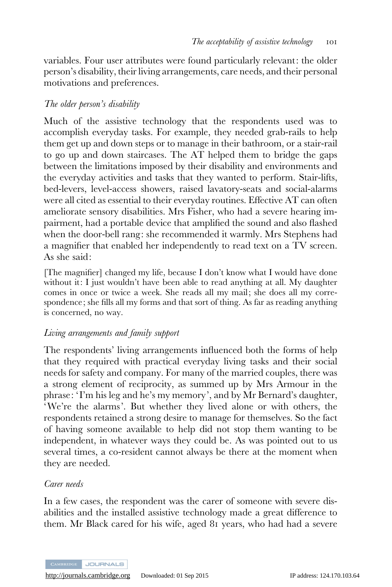variables. Four user attributes were found particularly relevant: the older person's disability, their living arrangements, care needs, and their personal motivations and preferences.

## The older person's disability

Much of the assistive technology that the respondents used was to accomplish everyday tasks. For example, they needed grab-rails to help them get up and down steps or to manage in their bathroom, or a stair-rail to go up and down staircases. The AT helped them to bridge the gaps between the limitations imposed by their disability and environments and the everyday activities and tasks that they wanted to perform. Stair-lifts, bed-levers, level-access showers, raised lavatory-seats and social-alarms were all cited as essential to their everyday routines. Effective AT can often ameliorate sensory disabilities. Mrs Fisher, who had a severe hearing impairment, had a portable device that amplified the sound and also flashed when the door-bell rang: she recommended it warmly. Mrs Stephens had a magnifier that enabled her independently to read text on a TV screen. As she said:

[The magnifier] changed my life, because I don't know what I would have done without it: I just wouldn't have been able to read anything at all. My daughter comes in once or twice a week. She reads all my mail; she does all my correspondence; she fills all my forms and that sort of thing. As far as reading anything is concerned, no way.

## Living arrangements and family support

The respondents' living arrangements influenced both the forms of help that they required with practical everyday living tasks and their social needs for safety and company. For many of the married couples, there was a strong element of reciprocity, as summed up by Mrs Armour in the phrase: ' I'm his leg and he's my memory', and by Mr Bernard's daughter, 'We're the alarms'. But whether they lived alone or with others, the respondents retained a strong desire to manage for themselves. So the fact of having someone available to help did not stop them wanting to be independent, in whatever ways they could be. As was pointed out to us several times, a co-resident cannot always be there at the moment when they are needed.

## Carer needs

In a few cases, the respondent was the carer of someone with severe disabilities and the installed assistive technology made a great difference to them. Mr Black cared for his wife, aged 81 years, who had had a severe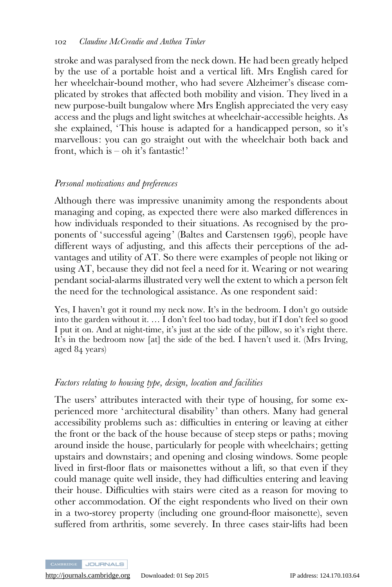stroke and was paralysed from the neck down. He had been greatly helped by the use of a portable hoist and a vertical lift. Mrs English cared for her wheelchair-bound mother, who had severe Alzheimer's disease complicated by strokes that affected both mobility and vision. They lived in a new purpose-built bungalow where Mrs English appreciated the very easy access and the plugs and light switches at wheelchair-accessible heights. As she explained, 'This house is adapted for a handicapped person, so it's marvellous: you can go straight out with the wheelchair both back and front, which is – oh it's fantastic!'

## Personal motivations and preferences

Although there was impressive unanimity among the respondents about managing and coping, as expected there were also marked differences in how individuals responded to their situations. As recognised by the proponents of ' successful ageing' (Baltes and Carstensen 1996), people have different ways of adjusting, and this affects their perceptions of the advantages and utility of AT. So there were examples of people not liking or using AT, because they did not feel a need for it. Wearing or not wearing pendant social-alarms illustrated very well the extent to which a person felt the need for the technological assistance. As one respondent said:

Yes, I haven't got it round my neck now. It's in the bedroom. I don't go outside into the garden without it. … I don't feel too bad today, but if I don't feel so good I put it on. And at night-time, it's just at the side of the pillow, so it's right there. It's in the bedroom now [at] the side of the bed. I haven't used it. (Mrs Irving, aged 84 years)

## Factors relating to housing type, design, location and facilities

The users' attributes interacted with their type of housing, for some experienced more 'architectural disability' than others. Many had general accessibility problems such as: difficulties in entering or leaving at either the front or the back of the house because of steep steps or paths; moving around inside the house, particularly for people with wheelchairs; getting upstairs and downstairs; and opening and closing windows. Some people lived in first-floor flats or maisonettes without a lift, so that even if they could manage quite well inside, they had difficulties entering and leaving their house. Difficulties with stairs were cited as a reason for moving to other accommodation. Of the eight respondents who lived on their own in a two-storey property (including one ground-floor maisonette), seven suffered from arthritis, some severely. In three cases stair-lifts had been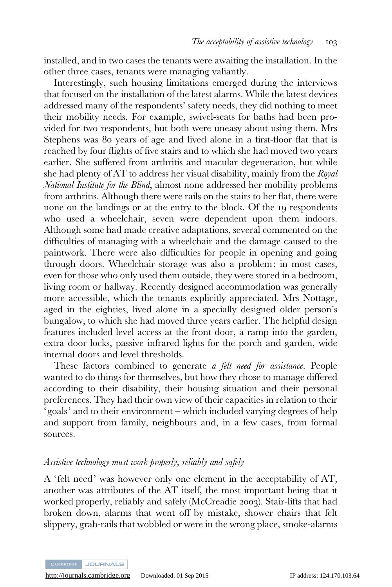installed, and in two cases the tenants were awaiting the installation. In the other three cases, tenants were managing valiantly.

Interestingly, such housing limitations emerged during the interviews that focused on the installation of the latest alarms. While the latest devices addressed many of the respondents' safety needs, they did nothing to meet their mobility needs. For example, swivel-seats for baths had been provided for two respondents, but both were uneasy about using them. Mrs Stephens was 80 years of age and lived alone in a first-floor flat that is reached by four flights of five stairs and to which she had moved two years earlier. She suffered from arthritis and macular degeneration, but while she had plenty of AT to address her visual disability, mainly from the Royal National Institute for the Blind, almost none addressed her mobility problems from arthritis. Although there were rails on the stairs to her flat, there were none on the landings or at the entry to the block. Of the 19 respondents who used a wheelchair, seven were dependent upon them indoors. Although some had made creative adaptations, several commented on the difficulties of managing with a wheelchair and the damage caused to the paintwork. There were also difficulties for people in opening and going through doors. Wheelchair storage was also a problem: in most cases, even for those who only used them outside, they were stored in a bedroom, living room or hallway. Recently designed accommodation was generally more accessible, which the tenants explicitly appreciated. Mrs Nottage, aged in the eighties, lived alone in a specially designed older person's bungalow, to which she had moved three years earlier. The helpful design features included level access at the front door, a ramp into the garden, extra door locks, passive infrared lights for the porch and garden, wide internal doors and level thresholds.

These factors combined to generate a felt need for assistance. People wanted to do things for themselves, but how they chose to manage differed according to their disability, their housing situation and their personal preferences. They had their own view of their capacities in relation to their 'goals' and to their environment – which included varying degrees of help and support from family, neighbours and, in a few cases, from formal sources.

#### Assistive technology must work properly, reliably and safely

A 'felt need' was however only one element in the acceptability of AT, another was attributes of the AT itself, the most important being that it worked properly, reliably and safely (McCreadie 2003). Stair-lifts that had broken down, alarms that went off by mistake, shower chairs that felt slippery, grab-rails that wobbled or were in the wrong place, smoke-alarms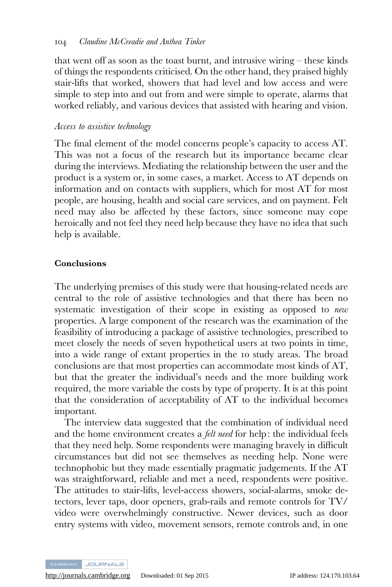that went off as soon as the toast burnt, and intrusive wiring – these kinds of things the respondents criticised. On the other hand, they praised highly stair-lifts that worked, showers that had level and low access and were simple to step into and out from and were simple to operate, alarms that worked reliably, and various devices that assisted with hearing and vision.

#### Access to assistive technology

The final element of the model concerns people's capacity to access AT. This was not a focus of the research but its importance became clear during the interviews. Mediating the relationship between the user and the product is a system or, in some cases, a market. Access to AT depends on information and on contacts with suppliers, which for most AT for most people, are housing, health and social care services, and on payment. Felt need may also be affected by these factors, since someone may cope heroically and not feel they need help because they have no idea that such help is available.

#### Conclusions

The underlying premises of this study were that housing-related needs are central to the role of assistive technologies and that there has been no systematic investigation of their scope in existing as opposed to new properties. A large component of the research was the examination of the feasibility of introducing a package of assistive technologies, prescribed to meet closely the needs of seven hypothetical users at two points in time, into a wide range of extant properties in the 10 study areas. The broad conclusions are that most properties can accommodate most kinds of AT, but that the greater the individual's needs and the more building work required, the more variable the costs by type of property. It is at this point that the consideration of acceptability of AT to the individual becomes important.

The interview data suggested that the combination of individual need and the home environment creates a *felt need* for help: the individual feels that they need help. Some respondents were managing bravely in difficult circumstances but did not see themselves as needing help. None were technophobic but they made essentially pragmatic judgements. If the AT was straightforward, reliable and met a need, respondents were positive. The attitudes to stair-lifts, level-access showers, social-alarms, smoke detectors, lever taps, door openers, grab-rails and remote controls for TV/ video were overwhelmingly constructive. Newer devices, such as door entry systems with video, movement sensors, remote controls and, in one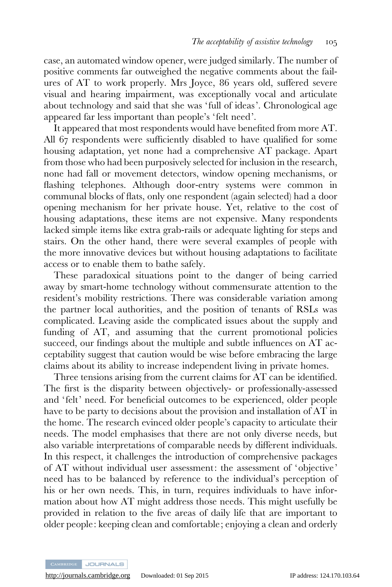case, an automated window opener, were judged similarly. The number of positive comments far outweighed the negative comments about the failures of AT to work properly. Mrs Joyce, 86 years old, suffered severe visual and hearing impairment, was exceptionally vocal and articulate about technology and said that she was 'full of ideas'. Chronological age appeared far less important than people's 'felt need'.

It appeared that most respondents would have benefited from more AT. All 67 respondents were sufficiently disabled to have qualified for some housing adaptation, yet none had a comprehensive AT package. Apart from those who had been purposively selected for inclusion in the research, none had fall or movement detectors, window opening mechanisms, or flashing telephones. Although door-entry systems were common in communal blocks of flats, only one respondent (again selected) had a door opening mechanism for her private house. Yet, relative to the cost of housing adaptations, these items are not expensive. Many respondents lacked simple items like extra grab-rails or adequate lighting for steps and stairs. On the other hand, there were several examples of people with the more innovative devices but without housing adaptations to facilitate access or to enable them to bathe safely.

These paradoxical situations point to the danger of being carried away by smart-home technology without commensurate attention to the resident's mobility restrictions. There was considerable variation among the partner local authorities, and the position of tenants of RSLs was complicated. Leaving aside the complicated issues about the supply and funding of AT, and assuming that the current promotional policies succeed, our findings about the multiple and subtle influences on AT acceptability suggest that caution would be wise before embracing the large claims about its ability to increase independent living in private homes.

Three tensions arising from the current claims for AT can be identified. The first is the disparity between objectively- or professionally-assessed and 'felt' need. For beneficial outcomes to be experienced, older people have to be party to decisions about the provision and installation of AT in the home. The research evinced older people's capacity to articulate their needs. The model emphasises that there are not only diverse needs, but also variable interpretations of comparable needs by different individuals. In this respect, it challenges the introduction of comprehensive packages of AT without individual user assessment: the assessment of 'objective' need has to be balanced by reference to the individual's perception of his or her own needs. This, in turn, requires individuals to have information about how AT might address those needs. This might usefully be provided in relation to the five areas of daily life that are important to older people: keeping clean and comfortable; enjoying a clean and orderly

<http://journals.cambridge.org> Downloaded: 01 Sep 2015 IP address: 124.170.103.64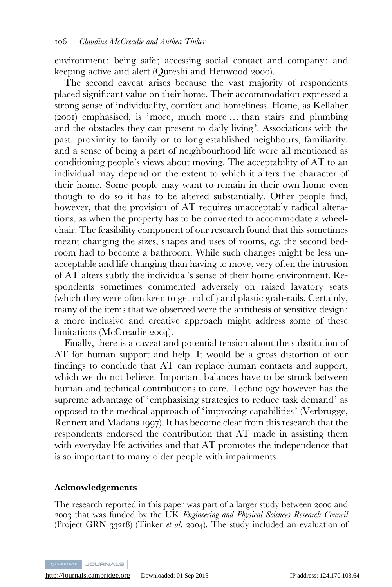environment; being safe; accessing social contact and company; and keeping active and alert (Qureshi and Henwood 2000).

The second caveat arises because the vast majority of respondents placed significant value on their home. Their accommodation expressed a strong sense of individuality, comfort and homeliness. Home, as Kellaher (2001) emphasised, is 'more, much more … than stairs and plumbing and the obstacles they can present to daily living'. Associations with the past, proximity to family or to long-established neighbours, familiarity, and a sense of being a part of neighbourhood life were all mentioned as conditioning people's views about moving. The acceptability of AT to an individual may depend on the extent to which it alters the character of their home. Some people may want to remain in their own home even though to do so it has to be altered substantially. Other people find, however, that the provision of AT requires unacceptably radical alterations, as when the property has to be converted to accommodate a wheelchair. The feasibility component of our research found that this sometimes meant changing the sizes, shapes and uses of rooms, e.g. the second bedroom had to become a bathroom. While such changes might be less unacceptable and life changing than having to move, very often the intrusion of AT alters subtly the individual's sense of their home environment. Respondents sometimes commented adversely on raised lavatory seats (which they were often keen to get rid of ) and plastic grab-rails. Certainly, many of the items that we observed were the antithesis of sensitive design: a more inclusive and creative approach might address some of these limitations (McCreadie 2004).

Finally, there is a caveat and potential tension about the substitution of AT for human support and help. It would be a gross distortion of our findings to conclude that AT can replace human contacts and support, which we do not believe. Important balances have to be struck between human and technical contributions to care. Technology however has the supreme advantage of 'emphasising strategies to reduce task demand' as opposed to the medical approach of 'improving capabilities' (Verbrugge, Rennert and Madans 1997). It has become clear from this research that the respondents endorsed the contribution that AT made in assisting them with everyday life activities and that AT promotes the independence that is so important to many older people with impairments.

#### Acknowledgements

The research reported in this paper was part of a larger study between 2000 and 2003 that was funded by the UK Engineering and Physical Sciences Research Council (Project GRN  $33218$ ) (Tinker *et al.* 2004). The study included an evaluation of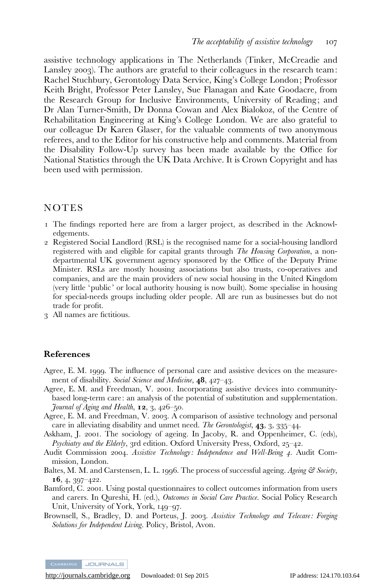assistive technology applications in The Netherlands (Tinker, McCreadie and Lansley 2003). The authors are grateful to their colleagues in the research team: Rachel Stuchbury, Gerontology Data Service, King's College London; Professor Keith Bright, Professor Peter Lansley, Sue Flanagan and Kate Goodacre, from the Research Group for Inclusive Environments, University of Reading; and Dr Alan Turner-Smith, Dr Donna Cowan and Alex Bialokoz, of the Centre of Rehabilitation Engineering at King's College London. We are also grateful to our colleague Dr Karen Glaser, for the valuable comments of two anonymous referees, and to the Editor for his constructive help and comments. Material from the Disability Follow-Up survey has been made available by the Office for National Statistics through the UK Data Archive. It is Crown Copyright and has been used with permission.

#### **NOTES**

- 1 The findings reported here are from a larger project, as described in the Acknowledgements.
- 2 Registered Social Landlord (RSL) is the recognised name for a social-housing landlord registered with and eligible for capital grants through *The Housing Corporation*, a nondepartmental UK government agency sponsored by the Office of the Deputy Prime Minister. RSLs are mostly housing associations but also trusts, co-operatives and companies, and are the main providers of new social housing in the United Kingdom (very little ' public' or local authority housing is now built). Some specialise in housing for special-needs groups including older people. All are run as businesses but do not trade for profit.
- 3 All names are fictitious.

#### References

- Agree, E. M. 1999. The influence of personal care and assistive devices on the measurement of disability. Social Science and Medicine, 48, 427-43.
- Agree, E. M. and Freedman, V. 2001. Incorporating assistive devices into communitybased long-term care: an analysis of the potential of substitution and supplementation. Journal of Aging and Health,  $12$ , 3, 426–50.
- Agree, E. M. and Freedman, V. 2003. A comparison of assistive technology and personal care in alleviating disability and unmet need. The Gerontologist, 43, 3, 335–44.
- Askham, J. 2001. The sociology of ageing. In Jacoby, R. and Oppenheimer, C. (eds), Psychiatry and the Elderly, 3rd edition. Oxford University Press, Oxford, 25-42.
- Audit Commission 2004. Assistive Technology: Independence and Well-Being 4. Audit Commission, London.
- Baltes, M. M. and Carstensen, L. L. 1996. The process of successful ageing. Ageing  $\mathcal{B}$  Society,  $16, 4, 397 - 422.$
- Bamford, C. 2001. Using postal questionnaires to collect outcomes information from users and carers. In Qureshi, H. (ed.), Outcomes in Social Care Practice. Social Policy Research Unit, University of York, York, 149–97.
- Brownsell, S., Bradley, D. and Porteus, J. 2003. Assistive Technology and Telecare: Forging Solutions for Independent Living. Policy, Bristol, Avon.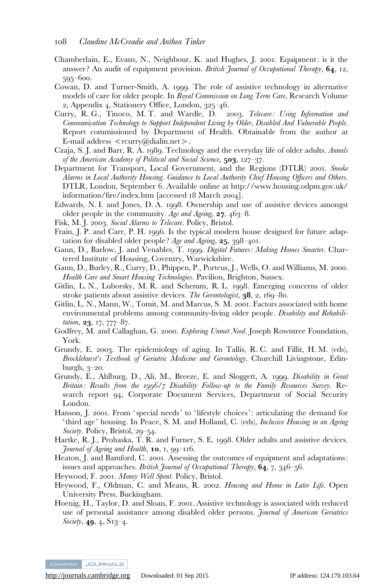- Chamberlain, E., Evans, N., Neighbour, K. and Hughes, J. 2001. Equipment: is it the answer? An audit of equipment provision. British Journal of Occupational Therapy, 64, 12, 595–600.
- Cowan, D. and Turner-Smith, A. 1999. The role of assistive technology in alternative models of care for older people. In Royal Commission on Long Term Care, Research Volume 2, Appendix 4, Stationery Office, London, 325–46.
- Curry, R. G., Tinoco, M. T. and Wardle, D. 2003. Telecare: Using Information and Communication Technology to Support Independent Living by Older, Disabled And Vulnerable People. Report commissioned by Department of Health. Obtainable from the author at E-mail address  $\langle$  rcurry@dialin.net  $\rangle$ .
- Czaja, S. J. and Barr, R. A. 1989. Technology and the everyday life of older adults. Annals of the American Academy of Political and Social Science,  $503$ ,  $127-37$ .
- Department for Transport, Local Government, and the Regions (DTLR) 2001. Smoke Alarms in Local Authority Housing. Guidance to Local Authority Chief Housing Officers and Others. DTLR, London, September 6. Available online at http://www.housing.odpm.gov.uk/ information/fire/index.htm [accessed 18 March 2004].
- Edwards, N. I. and Jones, D. A. 1998. Ownership and use of assistive devices amongst older people in the community. Age and Ageing,  $27,463-8$ .
- Fisk, M. J. 2003. Social Alarms to Telecare. Policy, Bristol.
- Frain, J. P. and Carr, P. H. 1996. Is the typical modern house designed for future adaptation for disabled older people? Age and Ageing,  $25, 398 - 401$ .
- Gann, D., Barlow, J. and Venables, T. 1999. Digital Futures: Making Homes Smarter. Chartered Institute of Housing, Coventry, Warwickshire.
- Gann, D., Burley, R., Curry, D., Phippen, P., Porteus, J., Wells, O. and Williams, M. 2000. Health Care and Smart Housing Technologies. Pavilion, Brighton, Sussex.
- Gitlin, L. N., Luborsky, M. R. and Schemm, R. L. 1998. Emerging concerns of older stroke patients about assistive devices. The Gerontologist,  $38, 2, 169-80$ .
- Gitlin, L. N., Mann, W., Tomit, M. and Marcus, S. M. 2001. Factors associated with home environmental problems among community-living older people. Disability and Rehabilitation, **23**, 17, 777–87.
- Godfrey, M. and Callaghan, G. 2000. Exploring Unmet Need. Joseph Rowntree Foundation, York.
- Grundy, E. 2003. The epidemiology of aging. In Tallis, R. C. and Fillit, H. M. (eds), Brocklehurst's Textbook of Geriatric Medicine and Gerontology. Churchill Livingstone, Edinburgh, 3–20.
- Grundy, E., Ahlburg, D., Ali, M., Breeze, E. and Sloggett, A. 1999. Disability in Great Britain: Results from the 1996/7 Disability Follow-up to the Family Resources Survey. Research report 94, Corporate Document Services, Department of Social Security London.
- Hanson, J. 2001. From 'special needs' to 'lifestyle choices': articulating the demand for 'third age' housing. In Peace, S. M. and Holland, C. (eds), Inclusive Housing in an Ageing Society. Policy, Bristol, 29–54.
- Hartke, R. J., Prohaska, T. R. and Furner, S. E. 1998. Older adults and assistive devices. Journal of Ageing and Health,  $10$ ,  $1$ ,  $99-116$ .
- Heaton, J. and Bamford, C. 2001. Assessing the outcomes of equipment and adaptations: issues and approaches. *British Journal of Occupational Therapy*,  $64$ ,  $7$ ,  $346-56$ .
- Heywood, F. 2001. Money Well Spent. Policy, Bristol.
- Heywood, F., Oldman, C. and Means, R. 2002. Housing and Home in Later Life. Open University Press, Buckingham.
- Hoenig, H., Taylor, D. and Sloan, F. 2001. Assistive technology is associated with reduced use of personal assistance among disabled older persons. Journal of American Geriatrics Society, **49**, 4, S13-4.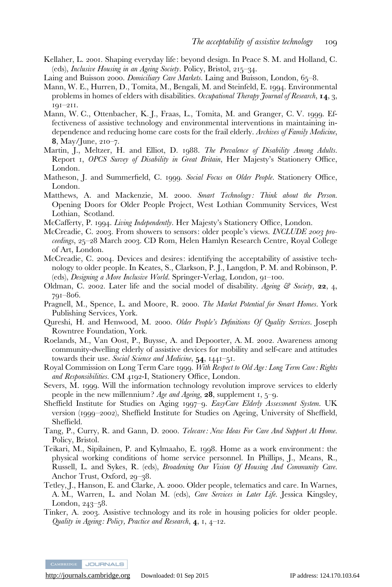- Kellaher, L. 2001. Shaping everyday life: beyond design. In Peace S. M. and Holland, C. (eds), Inclusive Housing in an Ageing Society. Policy, Bristol, 215–34.
- Laing and Buisson 2000. *Domiciliary Care Markets*. Laing and Buisson, London, 65–8.
- Mann, W. E., Hurren, D., Tomita, M., Bengali, M. and Steinfeld, E. 1994. Environmental problems in homes of elders with disabilities. Occupational Therapy Journal of Research, 14, 3, 191–211.
- Mann, W. C., Ottenbacher, K. J., Fraas, L., Tomita, M. and Granger, C. V. 1999. Effectiveness of assistive technology and environmental interventions in maintaining independence and reducing home care costs for the frail elderly. Archives of Family Medicine, 8, May/June, 210–7.
- Martin, J., Meltzer, H. and Elliot, D. 1988. The Prevalence of Disability Among Adults. Report 1, OPCS Survey of Disability in Great Britain, Her Majesty's Stationery Office, London.
- Matheson, J. and Summerfield, C. 1999. Social Focus on Older People. Stationery Office, London.
- Matthews, A. and Mackenzie, M. 2000. Smart Technology: Think about the Person. Opening Doors for Older People Project, West Lothian Community Services, West Lothian, Scotland.
- McCafferty, P. 1994. Living Independently. Her Majesty's Stationery Office, London.
- McCreadie, C. 2003. From showers to sensors: older people's views. INCLUDE 2003 proceedings, 25–28 March 2003. CD Rom, Helen Hamlyn Research Centre, Royal College of Art, London.
- McCreadie, C. 2004. Devices and desires: identifying the acceptability of assistive technology to older people. In Keates, S., Clarkson, P. J., Langdon, P. M. and Robinson, P. (eds), Designing a More Inclusive World. Springer-Verlag, London, 91–100.
- Oldman, C. 2002. Later life and the social model of disability. Ageing  $\mathcal{C}$  Society, 22, 4, 791–806.
- Pragnell, M., Spence, L. and Moore, R. 2000. The Market Potential for Smart Homes. York Publishing Services, York.
- Qureshi, H. and Henwood, M. 2000. Older People's Definitions Of Quality Services. Joseph Rowntree Foundation, York.
- Roelands, M., Van Oost, P., Buysse, A. and Depoorter, A. M. 2002. Awareness among community-dwelling elderly of assistive devices for mobility and self-care and attitudes towards their use. Social Science and Medicine, 54, 1441–51.
- Royal Commission on Long Term Care 1999. With Respect to Old Age: Long Term Care: Rights and Responsibilities. CM 4192-I, Stationery Office, London.
- Severs, M. 1999. Will the information technology revolution improve services to elderly people in the new millennium? Age and Ageing,  $28$ , supplement 1,  $5-9$ .
- Sheffield Institute for Studies on Aging 1997–9. EasyCare Elderly Assessment System. UK version (1999–2002), Sheffield Institute for Studies on Ageing, University of Sheffield, Sheffield.
- Tang, P., Curry, R. and Gann, D. 2000. Telecare: New Ideas For Care And Support At Home. Policy, Bristol.
- Teikari, M., Sipilainen, P. and Kylmaaho, E. 1998. Home as a work environment: the physical working conditions of home service personnel. In Phillips, J., Means, R., Russell, L. and Sykes, R. (eds), Broadening Our Vision Of Housing And Community Care. Anchor Trust, Oxford, 29–38.
- Tetley, J., Hanson, E. and Clarke, A. 2000. Older people, telematics and care. In Warnes, A. M., Warren, L. and Nolan M. (eds), Care Services in Later Life. Jessica Kingsley, London, 243–58.
- Tinker, A. 2003. Assistive technology and its role in housing policies for older people. Quality in Ageing: Policy, Practice and Research,  $4, 1, 4-12$ .

**JOURNALS**